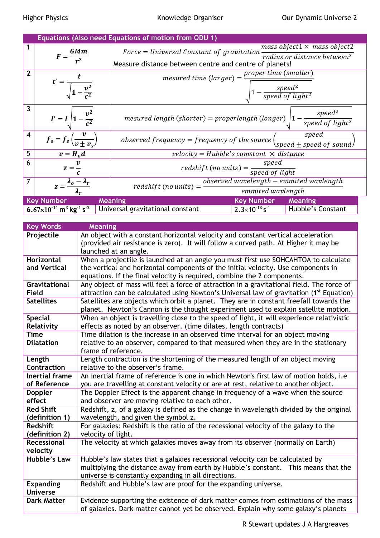|                                                                  | Equations (Also need Equations of motion from ODU 1) |                                                                                                                                                                                            |  |                                                           |  |  |
|------------------------------------------------------------------|------------------------------------------------------|--------------------------------------------------------------------------------------------------------------------------------------------------------------------------------------------|--|-----------------------------------------------------------|--|--|
| 1                                                                | $F = \frac{GMm}{r^2}$                                | mass object $1 \times$ mass object $2$<br>$Force = Universal Constant of gravitation$<br>radius or distance between <sup>2</sup><br>Measure distance between centre and centre of planets! |  |                                                           |  |  |
| $\overline{2}$                                                   | $t' = \frac{1}{\sqrt{1 - \frac{v^2}{c^2}}}$          | proper time (smaller)<br>$measured$ time (larger) =<br>$\Big _1 - \frac{speed^2}{speed\ of\ light^2}\Big $                                                                                 |  |                                                           |  |  |
| $\overline{\mathbf{3}}$                                          | $l' = l \left  1 - \frac{v^2}{c^2} \right $          | $mesured$ length (shorter) = properlength (longer)                                                                                                                                         |  | $\frac{speed^2}{speed~of~light^2}$                        |  |  |
| $\overline{\mathbf{4}}$                                          | $f_o = f_s \left( \frac{v}{v \pm v_s} \right)$       | speed<br>observed frequency = frequency of the source $\left(\frac{S_{\text{PCCA}}}{\text{speed} \pm \text{speed of sound}}\right)$                                                        |  |                                                           |  |  |
| 5                                                                | $v = H_o d$                                          | $velocity = Hubble's constant \times distance$                                                                                                                                             |  |                                                           |  |  |
| 6                                                                | $z=\frac{v}{z}$                                      | redshift (no units) = $\frac{speed}{speed \ of \ light}$                                                                                                                                   |  |                                                           |  |  |
| $\overline{7}$                                                   | $z = \frac{\lambda_0 - \lambda_r}{\lambda}$          | $observed$ wavelength $-$ emmited wavlength<br>$redshift (no units) =$                                                                                                                     |  |                                                           |  |  |
| emmited wavlength                                                |                                                      |                                                                                                                                                                                            |  |                                                           |  |  |
| <b>Key Number</b><br><b>Meaning</b><br><b>Key Number Meaning</b> |                                                      |                                                                                                                                                                                            |  |                                                           |  |  |
|                                                                  |                                                      | 6.67×10 <sup>-11</sup> m <sup>3</sup> kg <sup>-1</sup> s <sup>-2</sup> Universal gravitational constant                                                                                    |  | $2.3 \times 10^{-18}$ s <sup>-1</sup>   Hubble's Constant |  |  |

| <b>Key Words</b>               | <b>Meaning</b>                                                                                      |
|--------------------------------|-----------------------------------------------------------------------------------------------------|
| Projectile                     | An object with a constant horizontal velocity and constant vertical acceleration                    |
|                                | (provided air resistance is zero). It will follow a curved path. At Higher it may be                |
|                                | launched at an angle.                                                                               |
| Horizontal                     | When a projectile is launched at an angle you must first use SOHCAHTOA to calculate                 |
| and Vertical                   | the vertical and horizontal components of the initial velocity. Use components in                   |
|                                | equations. If the final velocity is required, combine the 2 components.                             |
| Gravitational                  | Any object of mass will feel a force of attraction in a gravitational field. The force of           |
| <b>Field</b>                   | attraction can be calculated using Newton's Universal law of gravitation (1 <sup>st</sup> Equation) |
| <b>Satellites</b>              | Satellites are objects which orbit a planet. They are in constant freefall towards the              |
|                                | planet. Newton's Cannon is the thought experiment used to explain satellite motion.                 |
| <b>Special</b>                 | When an object is travelling close to the speed of light, it will experience relativistic           |
| Relativity                     | effects as noted by an observer. (time dilates, length contracts)                                   |
| <b>Time</b>                    | Time dilation is the increase in an observed time interval for an object moving                     |
| <b>Dilatation</b>              | relative to an observer, compared to that measured when they are in the stationary                  |
|                                | frame of reference.                                                                                 |
| Length                         | Length contraction is the shortening of the measured length of an object moving                     |
| Contraction                    | relative to the observer's frame.                                                                   |
| <b>Inertial frame</b>          | An inertial frame of reference is one in which Newton's first law of motion holds, i.e              |
| of Reference                   | you are travelling at constant velocity or are at rest, relative to another object.                 |
| <b>Doppler</b>                 | The Doppler Effect is the apparent change in frequency of a wave when the source                    |
| effect                         | and observer are moving relative to each other.                                                     |
| <b>Red Shift</b>               | Redshift, z, of a galaxy is defined as the change in wavelength divided by the original             |
| (definition 1)                 | wavelength, and given the symbol z.                                                                 |
| <b>Redshift</b>                | For galaxies: Redshift is the ratio of the recessional velocity of the galaxy to the                |
| (definition 2)                 | velocity of light.                                                                                  |
| <b>Recessional</b><br>velocity | The velocity at which galaxies moves away from its observer (normally on Earth)                     |
| <b>Hubble's Law</b>            | Hubble's law states that a galaxies recessional velocity can be calculated by                       |
|                                | multiplying the distance away from earth by Hubble's constant. This means that the                  |
|                                | universe is constantly expanding in all directions.                                                 |
| <b>Expanding</b>               | Redshift and Hubble's law are proof for the expanding universe.                                     |
| <b>Universe</b>                |                                                                                                     |
| <b>Dark Matter</b>             | Evidence supporting the existence of dark matter comes from estimations of the mass                 |
|                                | of galaxies. Dark matter cannot yet be observed. Explain why some galaxy's planets                  |